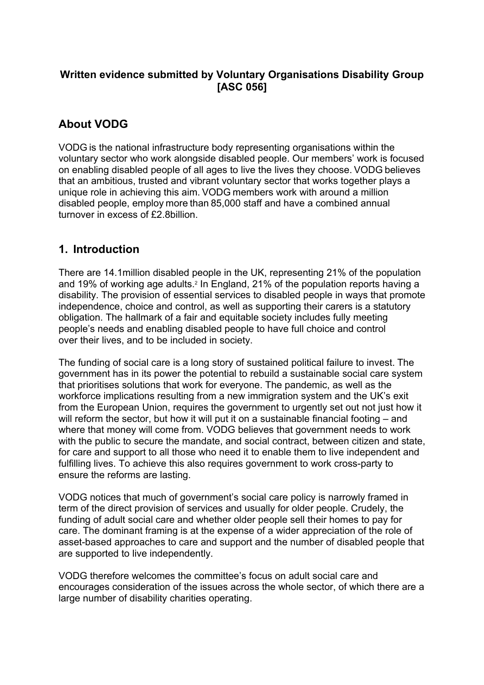# **Written evidence submitted by Voluntary Organisations Disability Group [ASC 056]**

# **About VODG**

VODG is the national infrastructure body representing organisations within the voluntary sector who work alongside disabled people. Our members' work is focused on enabling disabled people of all ages to live the lives they choose. VODG believes that an ambitious, trusted and vibrant voluntary sector that works together plays a unique role in achieving this aim. VODG members work with around a million disabled people, employ more than 85,000 staff and have a combined annual turnover in excess of £2.8billion.

# **1. Introduction**

There are 14.1million disabled people in the UK, representing 21% of the population and 19% of working age adults.<sup>2</sup> In England, 21% of the population reports having a disability. The provision of essential services to disabled people in ways that promote independence, choice and control, as well as supporting their carers is a statutory obligation. The hallmark of a fair and equitable society includes fully meeting people's needs and enabling disabled people to have full choice and control over their lives, and to be included in society.

The funding of social care is a long story of sustained political failure to invest. The government has in its power the potential to rebuild a sustainable social care system that prioritises solutions that work for everyone. The pandemic, as well as the workforce implications resulting from a new immigration system and the UK's exit from the European Union, requires the government to urgently set out not just how it will reform the sector, but how it will put it on a sustainable financial footing – and where that money will come from. VODG believes that government needs to work with the public to secure the mandate, and social contract, between citizen and state, for care and support to all those who need it to enable them to live independent and fulfilling lives. To achieve this also requires government to work cross-party to ensure the reforms are lasting.

VODG notices that much of government's social care policy is narrowly framed in term of the direct provision of services and usually for older people. Crudely, the funding of adult social care and whether older people sell their homes to pay for care. The dominant framing is at the expense of a wider appreciation of the role of asset-based approaches to care and support and the number of disabled people that are supported to live independently.

VODG therefore welcomes the committee's focus on adult social care and encourages consideration of the issues across the whole sector, of which there are a large number of disability charities operating.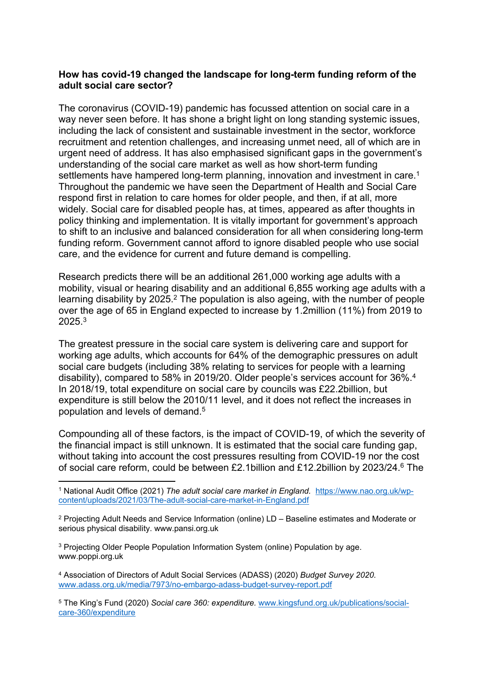### **How has covid-19 changed the landscape for long-term funding reform of the adult social care sector?**

The coronavirus (COVID-19) pandemic has focussed attention on social care in a way never seen before. It has shone a bright light on long standing systemic issues, including the lack of consistent and sustainable investment in the sector, workforce recruitment and retention challenges, and increasing unmet need, all of which are in urgent need of address. It has also emphasised significant gaps in the government's understanding of the social care market as well as how short-term funding settlements have hampered long-term planning, innovation and investment in care.<sup>1</sup> Throughout the pandemic we have seen the Department of Health and Social Care respond first in relation to care homes for older people, and then, if at all, more widely. Social care for disabled people has, at times, appeared as after thoughts in policy thinking and implementation. It is vitally important for government's approach to shift to an inclusive and balanced consideration for all when considering long-term funding reform. Government cannot afford to ignore disabled people who use social care, and the evidence for current and future demand is compelling.

Research predicts there will be an additional 261,000 working age adults with a mobility, visual or hearing disability and an additional 6,855 working age adults with a learning disability by 2025.<sup>2</sup> The population is also ageing, with the number of people over the age of 65 in England expected to increase by 1.2million (11%) from 2019 to 2025.<sup>3</sup>

The greatest pressure in the social care system is delivering care and support for working age adults, which accounts for 64% of the demographic pressures on adult social care budgets (including 38% relating to services for people with a learning disability), compared to 58% in 2019/20. Older people's services account for 36%.<sup>4</sup> In 2018/19, total expenditure on social care by councils was £22.2billion, but expenditure is still below the 2010/11 level, and it does not reflect the increases in population and levels of demand.<sup>5</sup>

Compounding all of these factors, is the impact of COVID-19, of which the severity of the financial impact is still unknown. It is estimated that the social care funding gap, without taking into account the cost pressures resulting from COVID-19 nor the cost of social care reform, could be between £2.1billion and £12.2billion by 2023/24.<sup>6</sup> The

<sup>3</sup> Projecting Older People Population Information System (online) Population by age. www.poppi.org.uk

<sup>4</sup> Association of Directors of Adult Social Services (ADASS) (2020) *Budget Survey 2020.* [www.adass.org.uk/media/7973/no-embargo-adass-budget-survey-report.pdf](http://www.adass.org.uk/media/7973/no-embargo-adass-budget-survey-report.pdf)

<sup>5</sup> The King's Fund (2020) *Social care 360: expenditure.* [www.kingsfund.org.uk/publications/social](http://www.kingsfund.org.uk/publications/social-care-360/expenditure)[care-360/expenditure](http://www.kingsfund.org.uk/publications/social-care-360/expenditure)

<sup>1</sup> National Audit Office (2021) *The adult social care market in England.* [https://www.nao.org.uk/wp](https://www.nao.org.uk/wp-content/uploads/2021/03/The-adult-social-care-market-in-England.pdf)[content/uploads/2021/03/The-adult-social-care-market-in-England.pdf](https://www.nao.org.uk/wp-content/uploads/2021/03/The-adult-social-care-market-in-England.pdf)

<sup>2</sup> Projecting Adult Needs and Service Information (online) LD – Baseline estimates and Moderate or serious physical disability. www.pansi.org.uk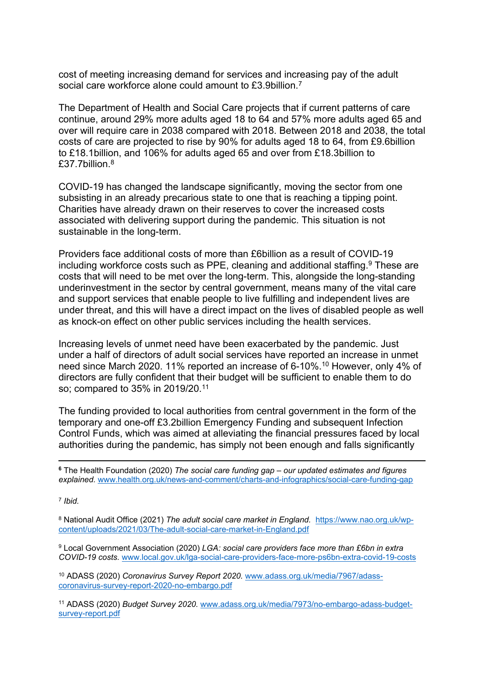cost of meeting increasing demand for services and increasing pay of the adult social care workforce alone could amount to £3.9billion.<sup>7</sup>

The Department of Health and Social Care projects that if current patterns of care continue, around 29% more adults aged 18 to 64 and 57% more adults aged 65 and over will require care in 2038 compared with 2018. Between 2018 and 2038, the total costs of care are projected to rise by 90% for adults aged 18 to 64, from £9.6billion to £18.1billion, and 106% for adults aged 65 and over from £18.3billion to £37.7billion.<sup>8</sup>

COVID-19 has changed the landscape significantly, moving the sector from one subsisting in an already precarious state to one that is reaching a tipping point. Charities have already drawn on their reserves to cover the increased costs associated with delivering support during the pandemic. This situation is not sustainable in the long-term.

Providers face additional costs of more than £6billion as a result of COVID-19 including workforce costs such as PPE, cleaning and additional staffing.<sup>9</sup> These are costs that will need to be met over the long-term. This, alongside the long-standing underinvestment in the sector by central government, means many of the vital care and support services that enable people to live fulfilling and independent lives are under threat, and this will have a direct impact on the lives of disabled people as well as knock-on effect on other public services including the health services.

Increasing levels of unmet need have been exacerbated by the pandemic. Just under a half of directors of adult social services have reported an increase in unmet need since March 2020. 11% reported an increase of 6-10%.<sup>10</sup> However, only 4% of directors are fully confident that their budget will be sufficient to enable them to do so; compared to 35% in 2019/20.<sup>11</sup>

The funding provided to local authorities from central government in the form of the temporary and one-off £3.2billion Emergency Funding and subsequent Infection Control Funds, which was aimed at alleviating the financial pressures faced by local authorities during the pandemic, has simply not been enough and falls significantly

7 *Ibid.*

<sup>8</sup> National Audit Office (2021) *The adult social care market in England.* [https://www.nao.org.uk/wp](https://www.nao.org.uk/wp-content/uploads/2021/03/The-adult-social-care-market-in-England.pdf)[content/uploads/2021/03/The-adult-social-care-market-in-England.pdf](https://www.nao.org.uk/wp-content/uploads/2021/03/The-adult-social-care-market-in-England.pdf)

<sup>9</sup> Local Government Association (2020) *LGA: social care providers face more than £6bn in extra COVID-19 costs.* [www.local.gov.uk/lga-social-care-providers-face-more-ps6bn-extra-covid-19-costs](http://www.local.gov.uk/lga-social-care-providers-face-more-ps6bn-extra-covid-19-costs)

<sup>10</sup> ADASS (2020) *Coronavirus Survey Report 2020.* [www.adass.org.uk/media/7967/adass](http://www.adass.org.uk/media/7967/adass-coronavirus-survey-report-2020-no-embargo.pdf)[coronavirus-survey-report-2020-no-embargo.pdf](http://www.adass.org.uk/media/7967/adass-coronavirus-survey-report-2020-no-embargo.pdf)

<sup>11</sup> ADASS (2020) *Budget Survey 2020.* [www.adass.org.uk/media/7973/no-embargo-adass-budget](http://www.adass.org.uk/media/7973/no-embargo-adass-budget-survey-report.pdf)[survey-report.pdf](http://www.adass.org.uk/media/7973/no-embargo-adass-budget-survey-report.pdf)

**<sup>6</sup>** The Health Foundation (2020) *The social care funding gap – our updated estimates and figures explained.* [www.health.org.uk/news-and-comment/charts-and-infographics/social-care-funding-gap](http://www.health.org.uk/news-and-comment/charts-and-infographics/social-care-funding-gap)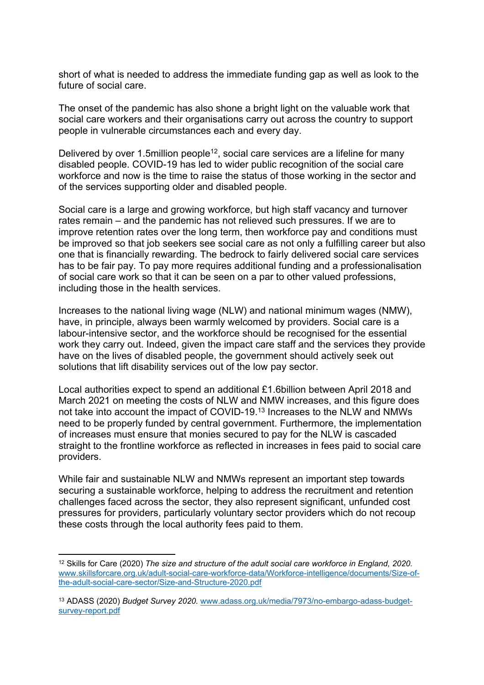short of what is needed to address the immediate funding gap as well as look to the future of social care.

The onset of the pandemic has also shone a bright light on the valuable work that social care workers and their organisations carry out across the country to support people in vulnerable circumstances each and every day.

Delivered by over 1.5million people<sup>12</sup>, social care services are a lifeline for many disabled people. COVID-19 has led to wider public recognition of the social care workforce and now is the time to raise the status of those working in the sector and of the services supporting older and disabled people.

Social care is a large and growing workforce, but high staff vacancy and turnover rates remain – and the pandemic has not relieved such pressures. If we are to improve retention rates over the long term, then workforce pay and conditions must be improved so that job seekers see social care as not only a fulfilling career but also one that is financially rewarding. The bedrock to fairly delivered social care services has to be fair pay. To pay more requires additional funding and a professionalisation of social care work so that it can be seen on a par to other valued professions, including those in the health services.

Increases to the national living wage (NLW) and national minimum wages (NMW), have, in principle, always been warmly welcomed by providers. Social care is a labour-intensive sector, and the workforce should be recognised for the essential work they carry out. Indeed, given the impact care staff and the services they provide have on the lives of disabled people, the government should actively seek out solutions that lift disability services out of the low pay sector.

Local authorities expect to spend an additional £1.6billion between April 2018 and March 2021 on meeting the costs of NLW and NMW increases, and this figure does not take into account the impact of COVID-19.<sup>13</sup> Increases to the NLW and NMWs need to be properly funded by central government. Furthermore, the implementation of increases must ensure that monies secured to pay for the NLW is cascaded straight to the frontline workforce as reflected in increases in fees paid to social care providers.

While fair and sustainable NLW and NMWs represent an important step towards securing a sustainable workforce, helping to address the recruitment and retention challenges faced across the sector, they also represent significant, unfunded cost pressures for providers, particularly voluntary sector providers which do not recoup these costs through the local authority fees paid to them.

<sup>12</sup> Skills for Care (2020) *The size and structure of the adult social care workforce in England, 2020.* [www.skillsforcare.org.uk/adult-social-care-workforce-data/Workforce-intelligence/documents/Size-of](http://www.skillsforcare.org.uk/adult-social-care-workforce-data/Workforce-intelligence/documents/Size-of-the-adult-social-care-sector/Size-and-Structure-2020.pdf)[the-adult-social-care-sector/Size-and-Structure-2020.pdf](http://www.skillsforcare.org.uk/adult-social-care-workforce-data/Workforce-intelligence/documents/Size-of-the-adult-social-care-sector/Size-and-Structure-2020.pdf)

<sup>13</sup> ADASS (2020) *Budget Survey 2020.* [www.adass.org.uk/media/7973/no-embargo-adass-budget](http://www.adass.org.uk/media/7973/no-embargo-adass-budget-survey-report.pdf)[survey-report.pdf](http://www.adass.org.uk/media/7973/no-embargo-adass-budget-survey-report.pdf)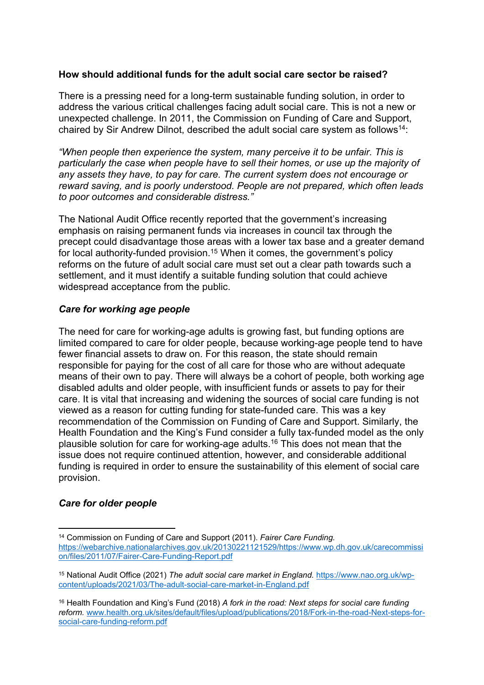## **How should additional funds for the adult social care sector be raised?**

There is a pressing need for a long-term sustainable funding solution, in order to address the various critical challenges facing adult social care. This is not a new or unexpected challenge. In 2011, the Commission on Funding of Care and Support, chaired by Sir Andrew Dilnot, described the adult social care system as follows<sup>14</sup>:

*"When people then experience the system, many perceive it to be unfair. This is particularly the case when people have to sell their homes, or use up the majority of any assets they have, to pay for care. The current system does not encourage or reward saving, and is poorly understood. People are not prepared, which often leads to poor outcomes and considerable distress."*

The National Audit Office recently reported that the government's increasing emphasis on raising permanent funds via increases in council tax through the precept could disadvantage those areas with a lower tax base and a greater demand for local authority-funded provision.<sup>15</sup> When it comes, the government's policy reforms on the future of adult social care must set out a clear path towards such a settlement, and it must identify a suitable funding solution that could achieve widespread acceptance from the public.

## *Care for working age people*

The need for care for working-age adults is growing fast, but funding options are limited compared to care for older people, because working-age people tend to have fewer financial assets to draw on. For this reason, the state should remain responsible for paying for the cost of all care for those who are without adequate means of their own to pay. There will always be a cohort of people, both working age disabled adults and older people, with insufficient funds or assets to pay for their care. It is vital that increasing and widening the sources of social care funding is not viewed as a reason for cutting funding for state-funded care. This was a key recommendation of the Commission on Funding of Care and Support. Similarly, the Health Foundation and the King's Fund consider a fully tax-funded model as the only plausible solution for care for working-age adults.<sup>16</sup> This does not mean that the issue does not require continued attention, however, and considerable additional funding is required in order to ensure the sustainability of this element of social care provision.

### *Care for older people*

<sup>14</sup> Commission on Funding of Care and Support (2011). *Fairer Care Funding.* [https://webarchive.nationalarchives.gov.uk/20130221121529/https://www.wp.dh.gov.uk/carecommissi](https://webarchive.nationalarchives.gov.uk/20130221121529/https:/www.wp.dh.gov.uk/carecommission/files/2011/07/Fairer-Care-Funding-Report.pdf) [on/files/2011/07/Fairer-Care-Funding-Report.pdf](https://webarchive.nationalarchives.gov.uk/20130221121529/https:/www.wp.dh.gov.uk/carecommission/files/2011/07/Fairer-Care-Funding-Report.pdf)

<sup>15</sup> National Audit Office (2021) *The adult social care market in England.* [https://www.nao.org.uk/wp](https://www.nao.org.uk/wp-content/uploads/2021/03/The-adult-social-care-market-in-England.pdf)[content/uploads/2021/03/The-adult-social-care-market-in-England.pdf](https://www.nao.org.uk/wp-content/uploads/2021/03/The-adult-social-care-market-in-England.pdf)

<sup>16</sup> Health Foundation and King's Fund (2018) *A fork in the road: Next steps for social care funding reform.* [www.health.org.uk/sites/default/files/upload/publications/2018/Fork-in-the-road-Next-steps-for](file:///C:/Users/gallaghere/AppData/Local/Microsoft/Windows/INetCache/IE/1XRDZ59X/Users/vodgpa/Desktop/www.health.org.uk/sites/default/files/upload/publications/2018/Fork-in-the-road-Next-steps-for-social-care-funding-reform.pdf)[social-care-funding-reform.pdf](file:///C:/Users/gallaghere/AppData/Local/Microsoft/Windows/INetCache/IE/1XRDZ59X/Users/vodgpa/Desktop/www.health.org.uk/sites/default/files/upload/publications/2018/Fork-in-the-road-Next-steps-for-social-care-funding-reform.pdf)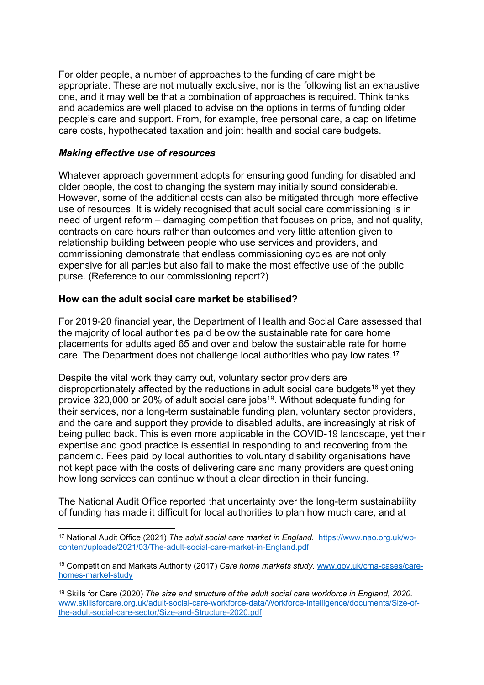For older people, a number of approaches to the funding of care might be appropriate. These are not mutually exclusive, nor is the following list an exhaustive one, and it may well be that a combination of approaches is required. Think tanks and academics are well placed to advise on the options in terms of funding older people's care and support. From, for example, free personal care, a cap on lifetime care costs, hypothecated taxation and joint health and social care budgets.

### *Making effective use of resources*

Whatever approach government adopts for ensuring good funding for disabled and older people, the cost to changing the system may initially sound considerable. However, some of the additional costs can also be mitigated through more effective use of resources. It is widely recognised that adult social care commissioning is in need of urgent reform – damaging competition that focuses on price, and not quality, contracts on care hours rather than outcomes and very little attention given to relationship building between people who use services and providers, and commissioning demonstrate that endless commissioning cycles are not only expensive for all parties but also fail to make the most effective use of the public purse. (Reference to our commissioning report?)

#### **How can the adult social care market be stabilised?**

For 2019-20 financial year, the Department of Health and Social Care assessed that the majority of local authorities paid below the sustainable rate for care home placements for adults aged 65 and over and below the sustainable rate for home care. The Department does not challenge local authorities who pay low rates.<sup>17</sup>

Despite the vital work they carry out, voluntary sector providers are disproportionately affected by the reductions in adult social care budgets<sup>18</sup> yet they provide 320,000 or 20% of adult social care jobs<sup>19</sup>. Without adequate funding for their services, nor a long-term sustainable funding plan, voluntary sector providers, and the care and support they provide to disabled adults, are increasingly at risk of being pulled back. This is even more applicable in the COVID-19 landscape, yet their expertise and good practice is essential in responding to and recovering from the pandemic. Fees paid by local authorities to voluntary disability organisations have not kept pace with the costs of delivering care and many providers are questioning how long services can continue without a clear direction in their funding.

The National Audit Office reported that uncertainty over the long-term sustainability of funding has made it difficult for local authorities to plan how much care, and at

<sup>17</sup> National Audit Office (2021) *The adult social care market in England.* [https://www.nao.org.uk/wp](https://www.nao.org.uk/wp-content/uploads/2021/03/The-adult-social-care-market-in-England.pdf)[content/uploads/2021/03/The-adult-social-care-market-in-England.pdf](https://www.nao.org.uk/wp-content/uploads/2021/03/The-adult-social-care-market-in-England.pdf)

<sup>18</sup> Competition and Markets Authority (2017) *Care home markets study.* [www.gov.uk/cma-cases/care](http://www.gov.uk/cma-cases/care-homes-market-study)[homes-market-study](http://www.gov.uk/cma-cases/care-homes-market-study)

<sup>19</sup> Skills for Care (2020) *The size and structure of the adult social care workforce in England, 2020.* [www.skillsforcare.org.uk/adult-social-care-workforce-data/Workforce-intelligence/documents/Size-of](http://www.skillsforcare.org.uk/adult-social-care-workforce-data/Workforce-intelligence/documents/Size-of-the-adult-social-care-sector/Size-and-Structure-2020.pdf)[the-adult-social-care-sector/Size-and-Structure-2020.pdf](http://www.skillsforcare.org.uk/adult-social-care-workforce-data/Workforce-intelligence/documents/Size-of-the-adult-social-care-sector/Size-and-Structure-2020.pdf)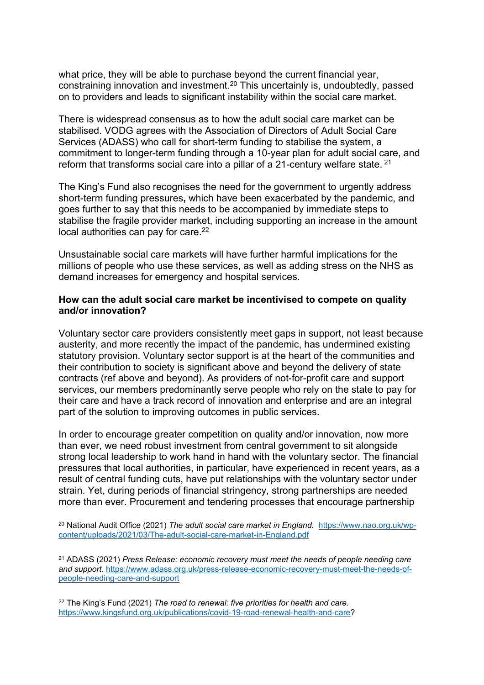what price, they will be able to purchase beyond the current financial year, constraining innovation and investment.<sup>20</sup> This uncertainly is, undoubtedly, passed on to providers and leads to significant instability within the social care market.

There is widespread consensus as to how the adult social care market can be stabilised. VODG agrees with the Association of Directors of Adult Social Care Services (ADASS) who call for short-term funding to stabilise the system, a commitment to longer-term funding through a 10-year plan for adult social care, and reform that transforms social care into a pillar of a 21-century welfare state. <sup>21</sup>

The King's Fund also recognises the need for the government to urgently address short-term funding pressures**,** which have been exacerbated by the pandemic, and goes further to say that this needs to be accompanied by immediate steps to stabilise the fragile provider market, including supporting an increase in the amount local authorities can pay for care.<sup>22</sup>

Unsustainable social care markets will have further harmful implications for the millions of people who use these services, as well as adding stress on the NHS as demand increases for emergency and hospital services.

#### **How can the adult social care market be incentivised to compete on quality and/or innovation?**

Voluntary sector care providers consistently meet gaps in support, not least because austerity, and more recently the impact of the pandemic, has undermined existing statutory provision. Voluntary sector support is at the heart of the communities and their contribution to society is significant above and beyond the delivery of state contracts (ref above and beyond). As providers of not-for-profit care and support services, our members predominantly serve people who rely on the state to pay for their care and have a track record of innovation and enterprise and are an integral part of the solution to improving outcomes in public services.

In order to encourage greater competition on quality and/or innovation, now more than ever, we need robust investment from central government to sit alongside strong local leadership to work hand in hand with the voluntary sector. The financial pressures that local authorities, in particular, have experienced in recent years, as a result of central funding cuts, have put relationships with the voluntary sector under strain. Yet, during periods of financial stringency, strong partnerships are needed more than ever. Procurement and tendering processes that encourage partnership

<sup>20</sup> National Audit Office (2021) *The adult social care market in England.* [https://www.nao.org.uk/wp](https://www.nao.org.uk/wp-content/uploads/2021/03/The-adult-social-care-market-in-England.pdf)[content/uploads/2021/03/The-adult-social-care-market-in-England.pdf](https://www.nao.org.uk/wp-content/uploads/2021/03/The-adult-social-care-market-in-England.pdf)

<sup>21</sup> ADASS (2021) *Press Release: economic recovery must meet the needs of people needing care and support.* [https://www.adass.org.uk/press-release-economic-recovery-must-meet-the-needs-of](https://www.adass.org.uk/press-release-economic-recovery-must-meet-the-needs-of-people-needing-care-and-support)[people-needing-care-and-support](https://www.adass.org.uk/press-release-economic-recovery-must-meet-the-needs-of-people-needing-care-and-support)

<sup>22</sup> The King's Fund (2021) *The road to renewal: five priorities for health and care.* [https://www.kingsfund.org.uk/publications/covid-19-road-renewal-health-and-care?](https://www.kingsfund.org.uk/publications/covid-19-road-renewal-health-and-care)